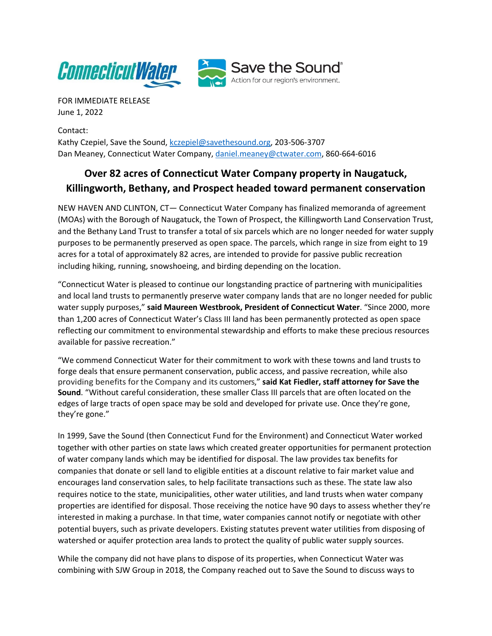

FOR IMMEDIATE RELEASE June 1, 2022

Contact: Kathy Czepiel, Save the Sound, [kczepiel@savethesound.org,](mailto:kczepiel@savethesound.org) 203-506-3707 Dan Meaney, Connecticut Water Company, [daniel.meaney@ctwater.com,](mailto:daniel.meaney@ctwater.com) 860-664-6016

## **Over 82 acres of Connecticut Water Company property in Naugatuck, Killingworth, Bethany, and Prospect headed toward permanent conservation**

NEW HAVEN AND CLINTON, CT— Connecticut Water Company has finalized memoranda of agreement (MOAs) with the Borough of Naugatuck, the Town of Prospect, the Killingworth Land Conservation Trust, and the Bethany Land Trust to transfer a total of six parcels which are no longer needed for water supply purposes to be permanently preserved as open space. The parcels, which range in size from eight to 19 acres for a total of approximately 82 acres, are intended to provide for passive public recreation including hiking, running, snowshoeing, and birding depending on the location.

"Connecticut Water is pleased to continue our longstanding practice of partnering with municipalities and local land trusts to permanently preserve water company lands that are no longer needed for public water supply purposes," **said Maureen Westbrook, President of Connecticut Water**. "Since 2000, more than 1,200 acres of Connecticut Water's Class III land has been permanently protected as open space reflecting our commitment to environmental stewardship and efforts to make these precious resources available for passive recreation."

"We commend Connecticut Water for their commitment to work with these towns and land trusts to forge deals that ensure permanent conservation, public access, and passive recreation, while also providing benefits forthe Company and its customers," **said Kat Fiedler, staff attorney for Save the Sound**. "Without careful consideration, these smaller Class III parcels that are often located on the edges of large tracts of open space may be sold and developed for private use. Once they're gone, they're gone."

In 1999, Save the Sound (then Connecticut Fund for the Environment) and Connecticut Water worked together with other parties on state laws which created greater opportunities for permanent protection of water company lands which may be identified for disposal. The law provides tax benefits for companies that donate or sell land to eligible entities at a discount relative to fair market value and encourages land conservation sales, to help facilitate transactions such as these. The state law also requires notice to the state, municipalities, other water utilities, and land trusts when water company properties are identified for disposal. Those receiving the notice have 90 days to assess whether they're interested in making a purchase. In that time, water companies cannot notify or negotiate with other potential buyers, such as private developers. Existing statutes prevent water utilities from disposing of watershed or aquifer protection area lands to protect the quality of public water supply sources.

While the company did not have plans to dispose of its properties, when Connecticut Water was combining with SJW Group in 2018, the Company reached out to Save the Sound to discuss ways to